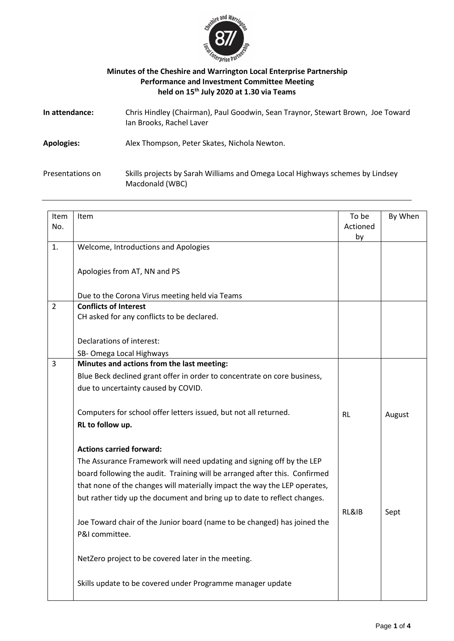

## **Minutes of the Cheshire and Warrington Local Enterprise Partnership Performance and Investment Committee Meeting held on 15 th July 2020 at 1.30 via Teams**

| In attendance:    | Chris Hindley (Chairman), Paul Goodwin, Sean Traynor, Stewart Brown, Joe Toward<br>Ian Brooks, Rachel Laver |
|-------------------|-------------------------------------------------------------------------------------------------------------|
| <b>Apologies:</b> | Alex Thompson, Peter Skates, Nichola Newton.                                                                |
| Presentations on  | Skills projects by Sarah Williams and Omega Local Highways schemes by Lindsey<br>Macdonald (WBC)            |

| Item           | Item                                                                       | To be     | By When |
|----------------|----------------------------------------------------------------------------|-----------|---------|
| No.            |                                                                            | Actioned  |         |
|                |                                                                            | by        |         |
| 1.             | Welcome, Introductions and Apologies                                       |           |         |
|                |                                                                            |           |         |
|                | Apologies from AT, NN and PS                                               |           |         |
|                |                                                                            |           |         |
|                | Due to the Corona Virus meeting held via Teams                             |           |         |
| $\overline{2}$ | <b>Conflicts of Interest</b>                                               |           |         |
|                | CH asked for any conflicts to be declared.                                 |           |         |
|                |                                                                            |           |         |
|                | Declarations of interest:                                                  |           |         |
|                | SB-Omega Local Highways                                                    |           |         |
| 3              | Minutes and actions from the last meeting:                                 |           |         |
|                | Blue Beck declined grant offer in order to concentrate on core business,   |           |         |
|                | due to uncertainty caused by COVID.                                        |           |         |
|                |                                                                            |           |         |
|                | Computers for school offer letters issued, but not all returned.           | <b>RL</b> | August  |
|                | RL to follow up.                                                           |           |         |
|                |                                                                            |           |         |
|                | <b>Actions carried forward:</b>                                            |           |         |
|                | The Assurance Framework will need updating and signing off by the LEP      |           |         |
|                | board following the audit. Training will be arranged after this. Confirmed |           |         |
|                | that none of the changes will materially impact the way the LEP operates,  |           |         |
|                |                                                                            |           |         |
|                | but rather tidy up the document and bring up to date to reflect changes.   |           |         |
|                |                                                                            | RL&IB     | Sept    |
|                | Joe Toward chair of the Junior board (name to be changed) has joined the   |           |         |
|                | P&I committee.                                                             |           |         |
|                |                                                                            |           |         |
|                | NetZero project to be covered later in the meeting.                        |           |         |
|                |                                                                            |           |         |
|                | Skills update to be covered under Programme manager update                 |           |         |
|                |                                                                            |           |         |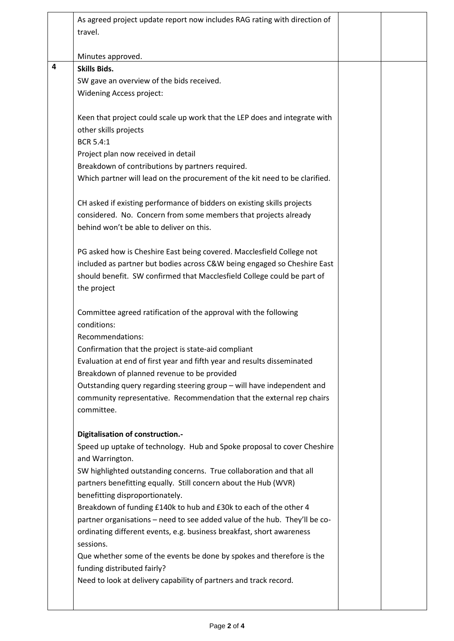|   | As agreed project update report now includes RAG rating with direction of<br>travel.                                                                                                                                                        |  |
|---|---------------------------------------------------------------------------------------------------------------------------------------------------------------------------------------------------------------------------------------------|--|
|   | Minutes approved.                                                                                                                                                                                                                           |  |
| 4 | <b>Skills Bids.</b>                                                                                                                                                                                                                         |  |
|   | SW gave an overview of the bids received.                                                                                                                                                                                                   |  |
|   | <b>Widening Access project:</b>                                                                                                                                                                                                             |  |
|   | Keen that project could scale up work that the LEP does and integrate with<br>other skills projects                                                                                                                                         |  |
|   | <b>BCR 5.4:1</b>                                                                                                                                                                                                                            |  |
|   | Project plan now received in detail                                                                                                                                                                                                         |  |
|   | Breakdown of contributions by partners required.                                                                                                                                                                                            |  |
|   | Which partner will lead on the procurement of the kit need to be clarified.                                                                                                                                                                 |  |
|   | CH asked if existing performance of bidders on existing skills projects<br>considered. No. Concern from some members that projects already<br>behind won't be able to deliver on this.                                                      |  |
|   | PG asked how is Cheshire East being covered. Macclesfield College not<br>included as partner but bodies across C&W being engaged so Cheshire East<br>should benefit. SW confirmed that Macclesfield College could be part of<br>the project |  |
|   | Committee agreed ratification of the approval with the following<br>conditions:<br>Recommendations:                                                                                                                                         |  |
|   | Confirmation that the project is state-aid compliant                                                                                                                                                                                        |  |
|   | Evaluation at end of first year and fifth year and results disseminated                                                                                                                                                                     |  |
|   | Breakdown of planned revenue to be provided                                                                                                                                                                                                 |  |
|   | Outstanding query regarding steering group - will have independent and<br>community representative. Recommendation that the external rep chairs<br>committee.                                                                               |  |
|   |                                                                                                                                                                                                                                             |  |
|   | Digitalisation of construction.-                                                                                                                                                                                                            |  |
|   | Speed up uptake of technology. Hub and Spoke proposal to cover Cheshire                                                                                                                                                                     |  |
|   | and Warrington.                                                                                                                                                                                                                             |  |
|   | SW highlighted outstanding concerns. True collaboration and that all                                                                                                                                                                        |  |
|   | partners benefitting equally. Still concern about the Hub (WVR)                                                                                                                                                                             |  |
|   | benefitting disproportionately.                                                                                                                                                                                                             |  |
|   | Breakdown of funding £140k to hub and £30k to each of the other 4<br>partner organisations - need to see added value of the hub. They'll be co-                                                                                             |  |
|   | ordinating different events, e.g. business breakfast, short awareness                                                                                                                                                                       |  |
|   | sessions.                                                                                                                                                                                                                                   |  |
|   | Que whether some of the events be done by spokes and therefore is the<br>funding distributed fairly?                                                                                                                                        |  |
|   | Need to look at delivery capability of partners and track record.                                                                                                                                                                           |  |
|   |                                                                                                                                                                                                                                             |  |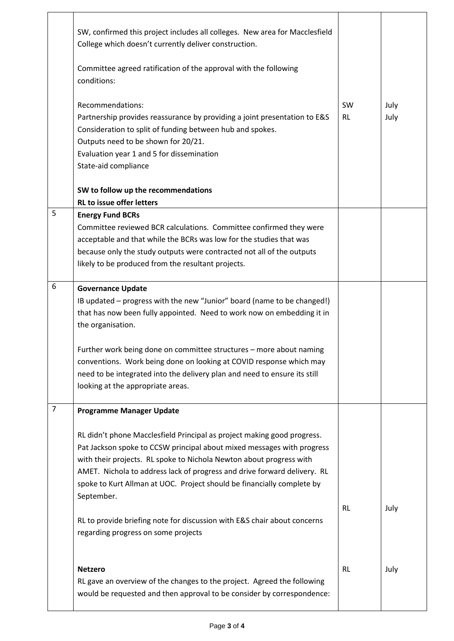|                | SW, confirmed this project includes all colleges. New area for Macclesfield<br>College which doesn't currently deliver construction.<br>Committee agreed ratification of the approval with the following<br>conditions:<br>Recommendations:<br>Partnership provides reassurance by providing a joint presentation to E&S<br>Consideration to split of funding between hub and spokes.<br>Outputs need to be shown for 20/21.<br>Evaluation year 1 and 5 for dissemination<br>State-aid compliance | <b>SW</b><br><b>RL</b> | July<br>July |
|----------------|---------------------------------------------------------------------------------------------------------------------------------------------------------------------------------------------------------------------------------------------------------------------------------------------------------------------------------------------------------------------------------------------------------------------------------------------------------------------------------------------------|------------------------|--------------|
|                | SW to follow up the recommendations                                                                                                                                                                                                                                                                                                                                                                                                                                                               |                        |              |
|                | <b>RL to issue offer letters</b>                                                                                                                                                                                                                                                                                                                                                                                                                                                                  |                        |              |
| 5              | <b>Energy Fund BCRs</b><br>Committee reviewed BCR calculations. Committee confirmed they were<br>acceptable and that while the BCRs was low for the studies that was<br>because only the study outputs were contracted not all of the outputs<br>likely to be produced from the resultant projects.                                                                                                                                                                                               |                        |              |
| 6              | <b>Governance Update</b><br>IB updated - progress with the new "Junior" board (name to be changed!)<br>that has now been fully appointed. Need to work now on embedding it in<br>the organisation.                                                                                                                                                                                                                                                                                                |                        |              |
|                | Further work being done on committee structures - more about naming<br>conventions. Work being done on looking at COVID response which may<br>need to be integrated into the delivery plan and need to ensure its still<br>looking at the appropriate areas.                                                                                                                                                                                                                                      |                        |              |
| $\overline{7}$ | <b>Programme Manager Update</b>                                                                                                                                                                                                                                                                                                                                                                                                                                                                   |                        |              |
|                | RL didn't phone Macclesfield Principal as project making good progress.<br>Pat Jackson spoke to CCSW principal about mixed messages with progress<br>with their projects. RL spoke to Nichola Newton about progress with<br>AMET. Nichola to address lack of progress and drive forward delivery. RL<br>spoke to Kurt Allman at UOC. Project should be financially complete by<br>September.                                                                                                      |                        |              |
|                | RL to provide briefing note for discussion with E&S chair about concerns<br>regarding progress on some projects                                                                                                                                                                                                                                                                                                                                                                                   | <b>RL</b>              | July         |
|                | <b>Netzero</b><br>RL gave an overview of the changes to the project. Agreed the following<br>would be requested and then approval to be consider by correspondence:                                                                                                                                                                                                                                                                                                                               | <b>RL</b>              | July         |